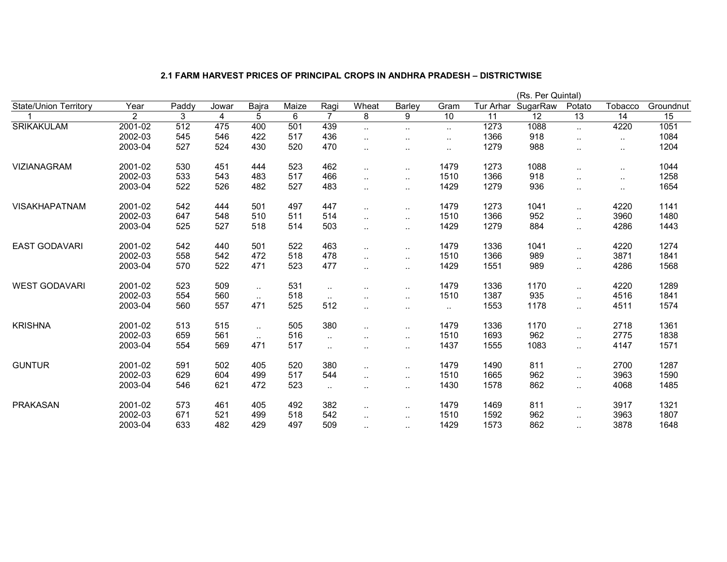|                              |                |                  |       |          |       |           |                      |           |           |           | (Rs. Per Quintal) |                      |           |           |
|------------------------------|----------------|------------------|-------|----------|-------|-----------|----------------------|-----------|-----------|-----------|-------------------|----------------------|-----------|-----------|
| <b>State/Union Territory</b> | Year           | Paddy            | Jowar | Bajra    | Maize | Ragi      | Wheat                | Barley    | Gram      | Tur Arhar | SugarRaw          | Potato               | Tobacco   | Groundnut |
|                              | $\overline{2}$ | 3                | 4     | 5        | 6     |           | 8                    | 9         | 10        | 11        | $\overline{12}$   | 13                   | 14        | 15        |
| <b>SRIKAKULAM</b>            | $2001 - 02$    | $\overline{512}$ | 475   | 400      | 501   | 439       | $\ddotsc$            | $\ddotsc$ | $\sim$    | 1273      | 1088              | $\ddotsc$            | 4220      | 1051      |
|                              | 2002-03        | 545              | 546   | 422      | 517   | 436       | $\ddotsc$            | $\ddotsc$ | $\cdot$ . | 1366      | 918               | $\ddotsc$            | $\sim$ .  | 1084      |
|                              | 2003-04        | 527              | 524   | 430      | 520   | 470       | $\ddotsc$            | $\cdot$ . | $\sim$    | 1279      | 988               | $\ddotsc$            | $\sim$ .  | 1204      |
| <b>VIZIANAGRAM</b>           | 2001-02        | 530              | 451   | 444      | 523   | 462       | $\ddotsc$            | $\ddotsc$ | 1479      | 1273      | 1088              | $\sim$               | $\cdot$ . | 1044      |
|                              | 2002-03        | 533              | 543   | 483      | 517   | 466       | $\cdot$ .            | $\cdot$ . | 1510      | 1366      | 918               | $\sim$               | $\cdot$ . | 1258      |
|                              | 2003-04        | 522              | 526   | 482      | 527   | 483       | $\ddotsc$            | $\ddotsc$ | 1429      | 1279      | 936               | $\sim$               | $\sim$ .  | 1654      |
| <b>VISAKHAPATNAM</b>         | 2001-02        | 542              | 444   | 501      | 497   | 447       | $\ddotsc$            | $\ddotsc$ | 1479      | 1273      | 1041              | $\ddotsc$            | 4220      | 1141      |
|                              | 2002-03        | 647              | 548   | 510      | 511   | 514       | $\ddotsc$            | $\ddotsc$ | 1510      | 1366      | 952               | $\ldots$             | 3960      | 1480      |
|                              | 2003-04        | 525              | 527   | 518      | 514   | 503       | $\cdot$ .            | $\ddotsc$ | 1429      | 1279      | 884               | $\ldots$             | 4286      | 1443      |
| <b>EAST GODAVARI</b>         | 2001-02        | 542              | 440   | 501      | 522   | 463       | $\cdot$ .            | $\sim$    | 1479      | 1336      | 1041              | $\sim$               | 4220      | 1274      |
|                              | 2002-03        | 558              | 542   | 472      | 518   | 478       | $\ddotsc$            | $\ddotsc$ | 1510      | 1366      | 989               | $\sim$               | 3871      | 1841      |
|                              | 2003-04        | 570              | 522   | 471      | 523   | 477       | $\ddotsc$            | $\ddotsc$ | 1429      | 1551      | 989               | $\ldots$             | 4286      | 1568      |
| <b>WEST GODAVARI</b>         | 2001-02        | 523              | 509   | $\sim$   | 531   | $\ddotsc$ | $\cdot$ .            | $\sim$    | 1479      | 1336      | 1170              | $\sim$               | 4220      | 1289      |
|                              | 2002-03        | 554              | 560   | $\sim$   | 518   | $\sim$    | $\sim$               | $\cdot$ . | 1510      | 1387      | 935               | $\sim$               | 4516      | 1841      |
|                              | 2003-04        | 560              | 557   | 471      | 525   | 512       | $\ddotsc$            | $\sim$    | $\sim$    | 1553      | 1178              | $\ddotsc$            | 4511      | 1574      |
| <b>KRISHNA</b>               | 2001-02        | 513              | 515   | $\ldots$ | 505   | 380       | $\ddotsc$            | $\ddotsc$ | 1479      | 1336      | 1170              | $\ldots$             | 2718      | 1361      |
|                              | 2002-03        | 659              | 561   | $\ldots$ | 516   | $\ddotsc$ | $\ddotsc$            | $\ddotsc$ | 1510      | 1693      | 962               | $\sim$               | 2775      | 1838      |
|                              | 2003-04        | 554              | 569   | 471      | 517   | $\ddotsc$ | $\ddotsc$            | $\cdot$ . | 1437      | 1555      | 1083              | $\ldots$             | 4147      | 1571      |
| <b>GUNTUR</b>                | 2001-02        | 591              | 502   | 405      | 520   | 380       | $\ddotsc$            | $\ddotsc$ | 1479      | 1490      | 811               | $\sim$               | 2700      | 1287      |
|                              | 2002-03        | 629              | 604   | 499      | 517   | 544       | $\ddot{\phantom{a}}$ | $\ddotsc$ | 1510      | 1665      | 962               | $\sim$               | 3963      | 1590      |
|                              | 2003-04        | 546              | 621   | 472      | 523   | $\ddotsc$ | $\sim$               | $\cdot$ . | 1430      | 1578      | 862               | $\ddot{\phantom{1}}$ | 4068      | 1485      |
| <b>PRAKASAN</b>              | 2001-02        | 573              | 461   | 405      | 492   | 382       | $\ddot{\phantom{a}}$ | $\cdot$ . | 1479      | 1469      | 811               | $\sim$               | 3917      | 1321      |
|                              | 2002-03        | 671              | 521   | 499      | 518   | 542       | $\ddotsc$            | $\ddotsc$ | 1510      | 1592      | 962               | $\ldots$             | 3963      | 1807      |
|                              | 2003-04        | 633              | 482   | 429      | 497   | 509       | $\ddotsc$            | $\cdot$ . | 1429      | 1573      | 862               | $\sim$               | 3878      | 1648      |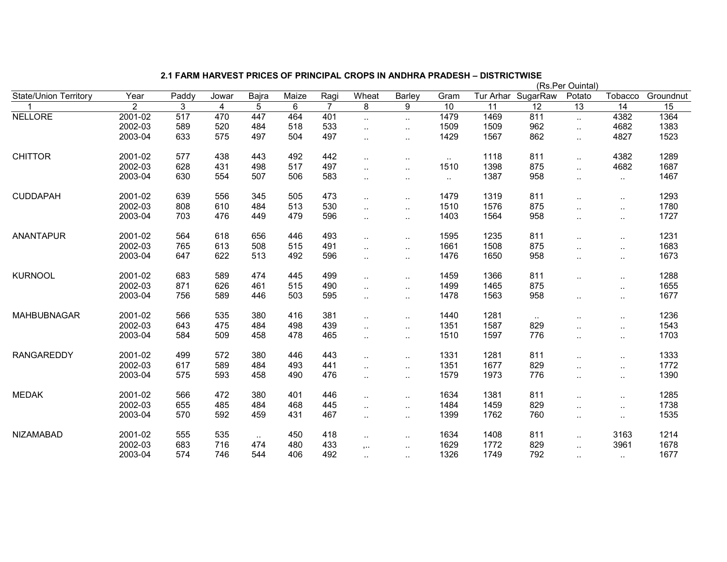|                              |                |       |                |          |       |                |                      |                        |        |      |                    | (Rs.Per Ouintal)     |                      |           |
|------------------------------|----------------|-------|----------------|----------|-------|----------------|----------------------|------------------------|--------|------|--------------------|----------------------|----------------------|-----------|
| <b>State/Union Territory</b> | Year           | Paddy | Jowar          | Bajra    | Maize | Ragi           | Wheat                | <b>Barley</b>          | Gram   |      | Tur Arhar SugarRaw | Potato               | Tobacco              | Groundnut |
|                              | $\overline{2}$ | 3     | $\overline{4}$ | 5        | 6     | $\overline{7}$ | 8                    | 9                      | 10     | 11   | $\overline{12}$    | 13                   | 14                   | 15        |
| <b>NELLORE</b>               | 2001-02        | 517   | 470            | 447      | 464   | 401            | $\ddotsc$            | $\cdot$ .              | 1479   | 1469 | 811                | $\ddot{\phantom{1}}$ | 4382                 | 1364      |
|                              | 2002-03        | 589   | 520            | 484      | 518   | 533            | $\ddotsc$            | $\ddotsc$              | 1509   | 1509 | 962                | $\ddotsc$            | 4682                 | 1383      |
|                              | 2003-04        | 633   | 575            | 497      | 504   | 497            | $\ddotsc$            | $\ddot{\phantom{a}}$ . | 1429   | 1567 | 862                | $\ldots$             | 4827                 | 1523      |
| <b>CHITTOR</b>               | 2001-02        | 577   | 438            | 443      | 492   | 442            | $\ddotsc$            | $\ddot{\phantom{a}}$   | $\sim$ | 1118 | 811                | $\ddot{\phantom{1}}$ | 4382                 | 1289      |
|                              | 2002-03        | 628   | 431            | 498      | 517   | 497            | $\ddotsc$            | $\ddotsc$              | 1510   | 1398 | 875                | $\ddotsc$            | 4682                 | 1687      |
|                              | 2003-04        | 630   | 554            | 507      | 506   | 583            | $\ddot{\phantom{a}}$ | $\ddotsc$              | $\sim$ | 1387 | 958                | $\cdot$ .            | $\ldots$             | 1467      |
| <b>CUDDAPAH</b>              | 2001-02        | 639   | 556            | 345      | 505   | 473            | $\ddotsc$            | $\ddotsc$              | 1479   | 1319 | 811                | $\cdot$ .            | $\cdot$ .            | 1293      |
|                              | 2002-03        | 808   | 610            | 484      | 513   | 530            | $\ddotsc$            | $\ddotsc$              | 1510   | 1576 | 875                |                      | $\ddotsc$            | 1780      |
|                              | 2003-04        | 703   | 476            | 449      | 479   | 596            | $\ddot{\phantom{a}}$ | $\ddot{\phantom{a}}$ . | 1403   | 1564 | 958                |                      | $\ddotsc$            | 1727      |
| <b>ANANTAPUR</b>             | 2001-02        | 564   | 618            | 656      | 446   | 493            | $\ddot{\phantom{a}}$ | $\ddot{\phantom{a}}$ . | 1595   | 1235 | 811                |                      | $\cdot$ .            | 1231      |
|                              | 2002-03        | 765   | 613            | 508      | 515   | 491            | $\ddotsc$            | $\ddotsc$              | 1661   | 1508 | 875                | $\ddot{\phantom{a}}$ | $\ddotsc$            | 1683      |
|                              | 2003-04        | 647   | 622            | 513      | 492   | 596            | $\ddot{\phantom{a}}$ | $\sim$                 | 1476   | 1650 | 958                |                      | $\cdot$ .            | 1673      |
| <b>KURNOOL</b>               | 2001-02        | 683   | 589            | 474      | 445   | 499            | $\ddotsc$            | $\ddotsc$              | 1459   | 1366 | 811                | $\cdot$ .            | $\ddot{\phantom{a}}$ | 1288      |
|                              | 2002-03        | 871   | 626            | 461      | 515   | 490            | $\ddotsc$            | $\ddotsc$              | 1499   | 1465 | 875                |                      | $\ddotsc$            | 1655      |
|                              | 2003-04        | 756   | 589            | 446      | 503   | 595            | $\ddot{\phantom{a}}$ | $\ddotsc$              | 1478   | 1563 | 958                |                      | $\cdot$ .            | 1677      |
| <b>MAHBUBNAGAR</b>           | 2001-02        | 566   | 535            | 380      | 416   | 381            | $\ddotsc$            | $\ddotsc$              | 1440   | 1281 | $\sim$             |                      | $\cdot$ .            | 1236      |
|                              | 2002-03        | 643   | 475            | 484      | 498   | 439            | $\ddot{\phantom{a}}$ | $\ddotsc$              | 1351   | 1587 | 829                |                      | ٠.                   | 1543      |
|                              | 2003-04        | 584   | 509            | 458      | 478   | 465            | $\ddotsc$            | $\ddot{\phantom{a}}$ . | 1510   | 1597 | 776                |                      | $\cdot$ .            | 1703      |
| <b>RANGAREDDY</b>            | 2001-02        | 499   | 572            | 380      | 446   | 443            | $\ddot{\phantom{a}}$ | $\ddot{\phantom{a}}$ . | 1331   | 1281 | 811                |                      | $\cdot$ .            | 1333      |
|                              | 2002-03        | 617   | 589            | 484      | 493   | 441            | $\ddot{\phantom{a}}$ | $\ddotsc$              | 1351   | 1677 | 829                |                      | $\cdot$ .            | 1772      |
|                              | 2003-04        | 575   | 593            | 458      | 490   | 476            | $\ddot{\phantom{a}}$ | $\cdot$ .              | 1579   | 1973 | 776                | $\cdot$ .            | $\cdot$ .            | 1390      |
| <b>MEDAK</b>                 | 2001-02        | 566   | 472            | 380      | 401   | 446            | $\ddotsc$            | $\ddotsc$              | 1634   | 1381 | 811                | $\ddot{\phantom{a}}$ | $\ddotsc$            | 1285      |
|                              | 2002-03        | 655   | 485            | 484      | 468   | 445            | $\ddotsc$            | $\ddotsc$              | 1484   | 1459 | 829                | $\ddotsc$            | $\ddotsc$            | 1738      |
|                              | 2003-04        | 570   | 592            | 459      | 431   | 467            | $\cdot$ .            | $\sim$                 | 1399   | 1762 | 760                | $\cdot$ .            | $\cdot$ .            | 1535      |
| <b>NIZAMABAD</b>             | 2001-02        | 555   | 535            | $\ldots$ | 450   | 418            | $\ddotsc$            | $\ddot{\phantom{a}}$ . | 1634   | 1408 | 811                | $\ddotsc$            | 3163                 | 1214      |
|                              | 2002-03        | 683   | 716            | 474      | 480   | 433            | $, \ldots$           | $\sim$                 | 1629   | 1772 | 829                | $\cdot$ .            | 3961                 | 1678      |
|                              | 2003-04        | 574   | 746            | 544      | 406   | 492            | $\cdot$ .            |                        | 1326   | 1749 | 792                | $\cdot$ .            | $\cdot$ .            | 1677      |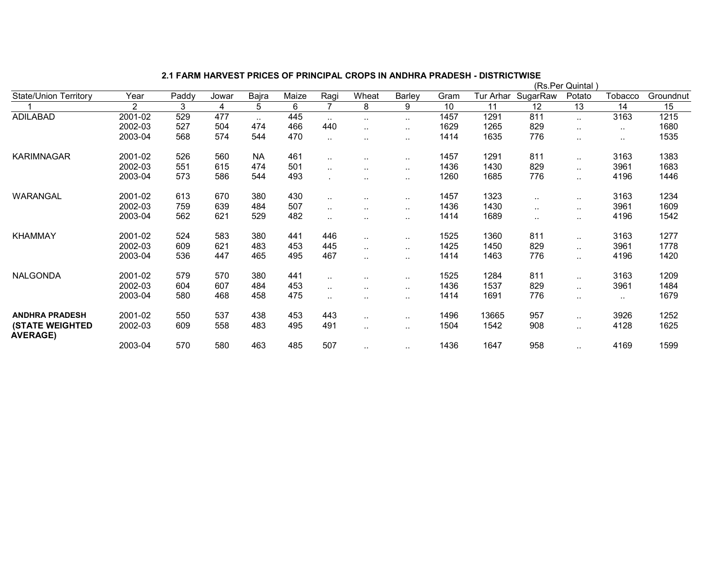|                                           |                |       |       |               |       |                      |               |               |      | (Rs.Per Quintal |          |           |         |           |  |  |  |  |
|-------------------------------------------|----------------|-------|-------|---------------|-------|----------------------|---------------|---------------|------|-----------------|----------|-----------|---------|-----------|--|--|--|--|
| <b>State/Union Territory</b>              | Year           | Paddy | Jowar | Bajra         | Maize | Ragi                 | Wheat         | Barley        | Gram | Tur Arhar       | SugarRaw | Potato    | Tobacco | Groundnut |  |  |  |  |
|                                           | $\overline{2}$ | 3     | 4     | 5             | 6     | 7                    | 8             | 9             | 10   | 11              | 12       | 13        | 14      | 15        |  |  |  |  |
| <b>ADILABAD</b>                           | 2001-02        | 529   | 477   | $\sim$ $\sim$ | 445   | $\sim$               | $\sim$        | $\sim$        | 1457 | 1291            | 811      | $\sim$    | 3163    | 1215      |  |  |  |  |
|                                           | 2002-03        | 527   | 504   | 474           | 466   | 440                  | $\ddotsc$     | $\ddotsc$     | 1629 | 1265            | 829      |           |         | 1680      |  |  |  |  |
|                                           | 2003-04        | 568   | 574   | 544           | 470   | $\ddotsc$            | $\ddotsc$     | $\sim$        | 1414 | 1635            | 776      |           | $\sim$  | 1535      |  |  |  |  |
| <b>KARIMNAGAR</b>                         | 2001-02        | 526   | 560   | <b>NA</b>     | 461   | $\ddotsc$            | $\sim$ $\sim$ | $\sim$        | 1457 | 1291            | 811      | $\cdot$ . | 3163    | 1383      |  |  |  |  |
|                                           | 2002-03        | 551   | 615   | 474           | 501   |                      | $\sim$        | $\sim$        | 1436 | 1430            | 829      | $\sim$    | 3961    | 1683      |  |  |  |  |
|                                           | 2003-04        | 573   | 586   | 544           | 493   |                      | $\sim$ $\sim$ | $\sim$ $\sim$ | 1260 | 1685            | 776      |           | 4196    | 1446      |  |  |  |  |
| WARANGAL                                  | 2001-02        | 613   | 670   | 380           | 430   | $\sim$               | $\cdot$ .     | $\sim$        | 1457 | 1323            | $\sim$   | $\sim$    | 3163    | 1234      |  |  |  |  |
|                                           | 2002-03        | 759   | 639   | 484           | 507   | $\ddotsc$            | $\ddotsc$     | $\ddotsc$     | 1436 | 1430            | $\sim$   | $\cdot$ . | 3961    | 1609      |  |  |  |  |
|                                           | 2003-04        | 562   | 621   | 529           | 482   |                      | $\ddotsc$     | $\ddotsc$     | 1414 | 1689            | $\sim$   | $\sim$    | 4196    | 1542      |  |  |  |  |
| <b>KHAMMAY</b>                            | 2001-02        | 524   | 583   | 380           | 441   | 446                  | $\ddotsc$     | $\sim$        | 1525 | 1360            | 811      | $\sim$    | 3163    | 1277      |  |  |  |  |
|                                           | 2002-03        | 609   | 621   | 483           | 453   | 445                  | $\sim$        | $\sim$        | 1425 | 1450            | 829      | $\sim$    | 3961    | 1778      |  |  |  |  |
|                                           | 2003-04        | 536   | 447   | 465           | 495   | 467                  | $\ddotsc$     | $\ddotsc$     | 1414 | 1463            | 776      |           | 4196    | 1420      |  |  |  |  |
| <b>NALGONDA</b>                           | 2001-02        | 579   | 570   | 380           | 441   | $\sim$               | $\sim$        | $\sim$        | 1525 | 1284            | 811      | $\sim$    | 3163    | 1209      |  |  |  |  |
|                                           | 2002-03        | 604   | 607   | 484           | 453   | $\ddotsc$            | $\ddotsc$     | $\sim$        | 1436 | 1537            | 829      | $\cdot$ . | 3961    | 1484      |  |  |  |  |
|                                           | 2003-04        | 580   | 468   | 458           | 475   | $\ddot{\phantom{a}}$ | $\ddotsc$     | $\ddotsc$     | 1414 | 1691            | 776      |           |         | 1679      |  |  |  |  |
| <b>ANDHRA PRADESH</b>                     | 2001-02        | 550   | 537   | 438           | 453   | 443                  | $\ddotsc$     | $\sim$ $\sim$ | 1496 | 13665           | 957      | $\sim$    | 3926    | 1252      |  |  |  |  |
| <b>(STATE WEIGHTED</b><br><b>AVERAGE)</b> | 2002-03        | 609   | 558   | 483           | 495   | 491                  | $\sim$        | $\sim$        | 1504 | 1542            | 908      | $\cdot$ . | 4128    | 1625      |  |  |  |  |
|                                           | 2003-04        | 570   | 580   | 463           | 485   | 507                  | $\ddotsc$     | $\sim$ $\sim$ | 1436 | 1647            | 958      |           | 4169    | 1599      |  |  |  |  |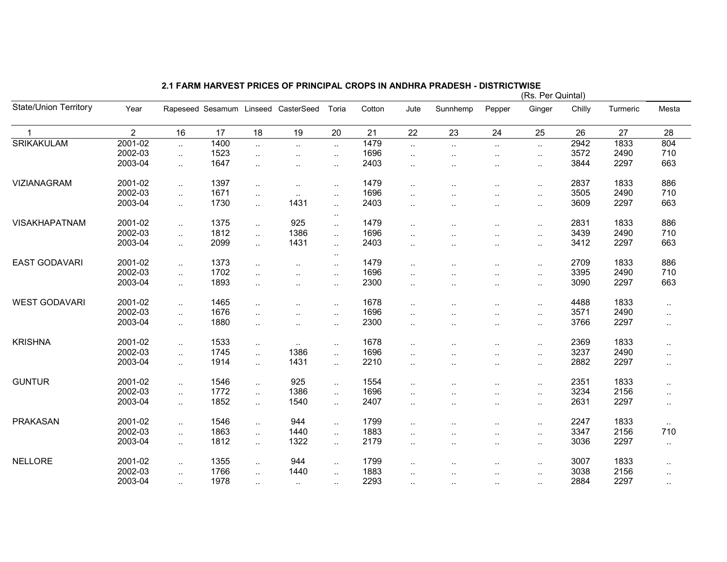|                              |                |                |      |                |                                     |                      |        |           |                      | (Rs. Per Quintal)    |              |        |          |                      |  |  |  |
|------------------------------|----------------|----------------|------|----------------|-------------------------------------|----------------------|--------|-----------|----------------------|----------------------|--------------|--------|----------|----------------------|--|--|--|
| <b>State/Union Territory</b> | Year           |                |      |                | Rapeseed Sesamum Linseed CasterSeed | Toria                | Cotton | Jute      | Sunnhemp             | Pepper               | Ginger       | Chilly | Turmeric | Mesta                |  |  |  |
| $\mathbf{1}$                 | $\overline{2}$ | 16             | 17   | 18             | 19                                  | 20                   | 21     | 22        | 23                   | 24                   | 25           | 26     | 27       | 28                   |  |  |  |
| SRIKAKULAM                   | 2001-02        | $\ddotsc$      | 1400 | $\sim$         | $\ddot{\phantom{a}}$                | $\sim$               | 1479   | $\ddotsc$ | $\ddotsc$            | $\ddotsc$            | $\ddotsc$    | 2942   | 1833     | 804                  |  |  |  |
|                              | 2002-03        | $\ddotsc$      | 1523 | $\ddotsc$      | $\ldots$                            | $\sim$               | 1696   | $\cdot$ . | $\ldots$             | $\ldots$             | $\mathbf{L}$ | 3572   | 2490     | 710                  |  |  |  |
|                              | 2003-04        | $\ddotsc$      | 1647 | $\ddotsc$      | $\ddotsc$                           | $\ddot{\phantom{1}}$ | 2403   | $\cdot$ . | $\cdot$ .            | $\ddotsc$            | $\sim$       | 3844   | 2297     | 663                  |  |  |  |
| VIZIANAGRAM                  | 2001-02        | $\ddotsc$      | 1397 | $\ddotsc$      | $\ddotsc$                           | $\sim$               | 1479   | $\ddotsc$ | $\ddotsc$            | $\ddotsc$            | $\ldots$     | 2837   | 1833     | 886                  |  |  |  |
|                              | 2002-03        | $\ldots$       | 1671 | $\ddotsc$      | $\ldots$                            | $\ddotsc$            | 1696   | $\ddotsc$ | $\cdot$ .            | $\ddotsc$            | $\sim$       | 3505   | 2490     | 710                  |  |  |  |
|                              | 2003-04        | $\ddotsc$      | 1730 | $\ddotsc$      | 1431                                | $\sim$               | 2403   | $\ddotsc$ | $\ddot{\phantom{a}}$ | $\ddotsc$            | $\sim$       | 3609   | 2297     | 663                  |  |  |  |
|                              |                |                |      |                |                                     | $\ddotsc$            |        |           |                      |                      |              |        |          |                      |  |  |  |
| <b>VISAKHAPATNAM</b>         | 2001-02        | $\ddotsc$      | 1375 | $\ddotsc$      | 925                                 | $\sim$               | 1479   | $\ddotsc$ |                      | $\ddotsc$            | $\ldots$     | 2831   | 1833     | 886                  |  |  |  |
|                              | 2002-03        | $\ddotsc$      | 1812 | $\sim$         | 1386                                | $\sim$               | 1696   | $\ddotsc$ | $\ddotsc$            | $\ddotsc$            | $\ddotsc$    | 3439   | 2490     | 710                  |  |  |  |
|                              | 2003-04        | $\ldots$       | 2099 | $\ddotsc$      | 1431                                | $\ddotsc$            | 2403   | $\cdot$ . | $\ddotsc$            | $\ddotsc$            | $\sim$       | 3412   | 2297     | 663                  |  |  |  |
| <b>EAST GODAVARI</b>         | 2001-02        |                | 1373 |                |                                     | $\sim$               | 1479   |           |                      |                      |              | 2709   | 1833     | 886                  |  |  |  |
|                              | 2002-03        | $\ldots$       | 1702 | $\ddotsc$      | $\ddot{\phantom{a}}$                | $\ddotsc$            |        | $\ddotsc$ | $\cdot$ .            | $\ddotsc$            | $\ddotsc$    | 3395   |          | 710                  |  |  |  |
|                              |                | $\ddotsc$      |      | $\ddotsc$      | $\ddotsc$                           | $\ddotsc$            | 1696   | $\ddotsc$ | $\ddot{\phantom{a}}$ |                      | $\sim$       |        | 2490     |                      |  |  |  |
|                              | 2003-04        | $\mathbf{r}$ . | 1893 | $\ddotsc$      | $\ddotsc$                           | $\ddotsc$            | 2300   | $\ddotsc$ | $\cdot$ .            | $\ddotsc$            | $\sim$       | 3090   | 2297     | 663                  |  |  |  |
| <b>WEST GODAVARI</b>         | 2001-02        | $\ddotsc$      | 1465 | $\mathbf{r}$ . | $\ddot{\phantom{a}}$                | $\mathbf{L}$         | 1678   | $\ddotsc$ |                      | $\ddotsc$            | $\sim$       | 4488   | 1833     | $\mathbf{L}$         |  |  |  |
|                              | 2002-03        | $\ddotsc$      | 1676 | $\ddotsc$      | $\ddot{\phantom{a}}$                | $\ddotsc$            | 1696   | $\ddotsc$ |                      | $\ddotsc$            | $\sim$       | 3571   | 2490     | $\sim$               |  |  |  |
|                              | 2003-04        | $\ddotsc$      | 1880 | $\ldots$       | $\ddotsc$                           | $\mathbf{L}$         | 2300   | $\ddotsc$ | $\cdot$              | $\ddotsc$            | $\sim$       | 3766   | 2297     | $\sim$               |  |  |  |
| <b>KRISHNA</b>               | 2001-02        | $\ddotsc$      | 1533 | $\ldots$       | $\ddotsc$                           | $\ddotsc$            | 1678   | $\cdot$ . |                      | $\ddot{\phantom{a}}$ | $\sim$       | 2369   | 1833     | $\sim$               |  |  |  |
|                              | 2002-03        | $\ldots$       | 1745 | $\ddotsc$      | 1386                                | $\ddotsc$            | 1696   | $\cdot$ . | $\ddotsc$            | $\ddotsc$            | $\sim$       | 3237   | 2490     | $\ddot{\phantom{1}}$ |  |  |  |
|                              | 2003-04        | $\mathbf{r}$ . | 1914 | $\mathbf{r}$ . | 1431                                | $\ddotsc$            | 2210   | $\ddotsc$ | $\ddotsc$            | $\ddotsc$            | $\ddotsc$    | 2882   | 2297     | $\mathbf{L}$         |  |  |  |
|                              |                |                |      |                |                                     |                      |        |           |                      |                      |              |        |          |                      |  |  |  |
| <b>GUNTUR</b>                | 2001-02        | $\ddotsc$      | 1546 | $\ddotsc$      | 925                                 | $\mathbf{L}$         | 1554   | $\ddotsc$ |                      | $\ddotsc$            | $\ddotsc$    | 2351   | 1833     | $\sim$               |  |  |  |
|                              | 2002-03        | $\ddotsc$      | 1772 | $\mathbf{r}$ . | 1386                                | $\ddotsc$            | 1696   | $\ddotsc$ | $\ddotsc$            | $\ddot{\phantom{a}}$ | $\sim$       | 3234   | 2156     | $\sim$               |  |  |  |
|                              | 2003-04        | $\ddotsc$      | 1852 | $\ddotsc$      | 1540                                | $\ddotsc$            | 2407   | $\ddotsc$ |                      | $\ddotsc$            | $\ldots$     | 2631   | 2297     | $\sim$               |  |  |  |
| <b>PRAKASAN</b>              | 2001-02        | $\ddotsc$      | 1546 | $\ddotsc$      | 944                                 | $\ddotsc$            | 1799   | $\ddotsc$ |                      | $\ddotsc$            | $\sim$       | 2247   | 1833     | $\sim$               |  |  |  |
|                              | 2002-03        | $\ddotsc$      | 1863 | $\ddotsc$      | 1440                                | $\ddotsc$            | 1883   | $\ddotsc$ | $\cdot$ .            |                      | $\sim$       | 3347   | 2156     | 710                  |  |  |  |
|                              | 2003-04        | $\ddotsc$      | 1812 | $\ddotsc$      | 1322                                | $\ddotsc$            | 2179   | $\ddotsc$ | $\ddotsc$            | $\ddotsc$            | $\sim$       | 3036   | 2297     | $\ddotsc$            |  |  |  |
|                              |                |                |      |                |                                     |                      |        |           |                      |                      |              |        |          |                      |  |  |  |
| <b>NELLORE</b>               | 2001-02        | $\ddotsc$      | 1355 | $\mathbf{r}$ . | 944                                 | $\ddotsc$            | 1799   | $\cdot$ . |                      |                      | $\sim$       | 3007   | 1833     | $\sim$               |  |  |  |
|                              | 2002-03        | $\sim$         | 1766 | $\ddotsc$      | 1440                                | $\ddotsc$            | 1883   | $\ddotsc$ | $\cdot$ .            | ٠.                   | $\sim$       | 3038   | 2156     | $\ddot{\phantom{1}}$ |  |  |  |
|                              | 2003-04        | $\sim$         | 1978 | $\sim$         | $\sim$                              | $\sim$               | 2293   | $\sim$    | $\cdots$             | $\cdot$ .            | $\sim$       | 2884   | 2297     | $\sim$               |  |  |  |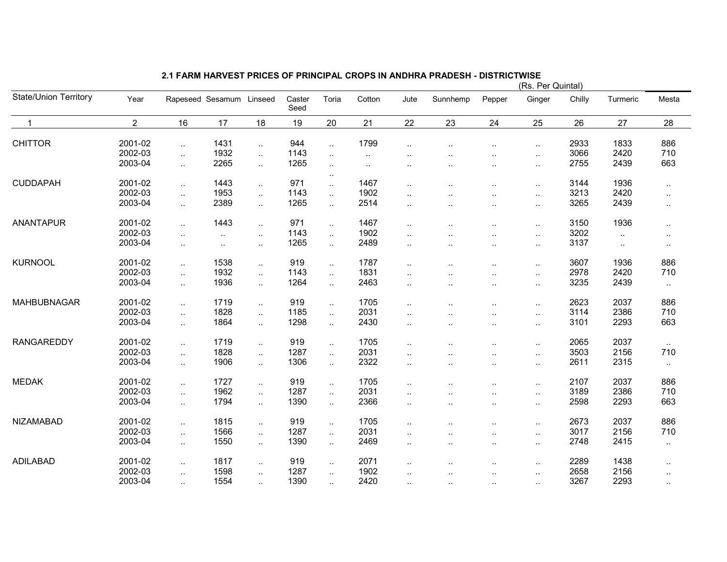|                              |                |                      |                          |                      |                |                             |          |                      |                      |                      | (Rs. Per Quintal) |        |           |           |
|------------------------------|----------------|----------------------|--------------------------|----------------------|----------------|-----------------------------|----------|----------------------|----------------------|----------------------|-------------------|--------|-----------|-----------|
| <b>State/Union Territory</b> | Year           |                      | Rapeseed Sesamum Linseed |                      | Caster<br>Seed | Toria                       | Cotton   | Jute                 | Sunnhemp             | Pepper               | Ginger            | Chilly | Turmeric  | Mesta     |
| $\overline{1}$               | $\overline{2}$ | 16                   | 17                       | 18                   | 19             | 20                          | 21       | 22                   | 23                   | 24                   | 25                | 26     | 27        | 28        |
| <b>CHITTOR</b>               | 2001-02        | $\ddotsc$            | 1431                     | $\ldots$             | 944            | $\ddotsc$                   | 1799     |                      |                      | $\cdot$ .            | $\ddotsc$         | 2933   | 1833      | 886       |
|                              | 2002-03        | $\sim$               | 1932                     | $\sim$               | 1143           | $\sim$                      | $\sim$   | $\ddotsc$            |                      | $\ddotsc$            | $\sim$            | 3066   | 2420      | 710       |
|                              | 2003-04        | $\sim$               | 2265                     | $\ddotsc$            | 1265           | $\sim$                      | $\ldots$ |                      |                      | $\ddotsc$            | $\cdot$ .         | 2755   | 2439      | 663       |
| <b>CUDDAPAH</b>              | 2001-02        | $\ddotsc$            | 1443                     | $\ddotsc$            | 971            | $\ddotsc$                   | 1467     |                      | $\ddot{\phantom{a}}$ | $\ddotsc$            | $\ddotsc$         | 3144   | 1936      | $\ddotsc$ |
|                              | 2002-03        | $\ddotsc$            | 1953                     | $\ddotsc$            | 1143           | $\sim$                      | 1902     | $\ddot{\phantom{a}}$ |                      | $\ddotsc$            | $\ddotsc$         | 3213   | 2420      | $\sim$    |
|                              | 2003-04        | $\ddotsc$            | 2389                     | $\ddotsc$            | 1265           | $\ddotsc$                   | 2514     | $\ddotsc$            | ٠.                   | $\cdot$ .            |                   | 3265   | 2439      | $\sim$    |
| <b>ANANTAPUR</b>             | 2001-02        | $\ddotsc$            | 1443                     | $\sim$               | 971            | $\sim$                      | 1467     | $\ddotsc$            | ٠.                   | $\ddotsc$            | $\cdot$ .         | 3150   | 1936      | $\sim$    |
|                              | 2002-03        | $\ddotsc$            | $\ddotsc$                | $\cdot$ .            | 1143           | $\sim$                      | 1902     | $\ddot{\phantom{a}}$ |                      |                      | $\ddotsc$         | 3202   | $\ddotsc$ |           |
|                              | 2003-04        | $\sim$               | $\cdot$ .                | $\ldots$             | 1265           | $\sim$                      | 2489     | $\ddotsc$            | $\ddot{\phantom{a}}$ | $\ddot{\phantom{a}}$ | $\sim$            | 3137   | $\ddotsc$ | $\sim$    |
| <b>KURNOOL</b>               | 2001-02        | $\ddotsc$            | 1538                     | $\ddotsc$            | 919            | $\sim$                      | 1787     |                      |                      | $\ddot{\phantom{a}}$ | $\ddotsc$         | 3607   | 1936      | 886       |
|                              | 2002-03        | $\ddotsc$            | 1932                     | $\ddotsc$            | 1143           | $\ddotsc$                   | 1831     | $\ddotsc$            | ٠.                   | $\ddotsc$            | $\sim$            | 2978   | 2420      | 710       |
|                              | 2003-04        | $\ddotsc$            | 1936                     | $\ddotsc$            | 1264           | $\sim$                      | 2463     | ٠.                   | ٠.                   | $\cdot$ .            | $\ldots$          | 3235   | 2439      | $\sim$    |
| <b>MAHBUBNAGAR</b>           | 2001-02        | $\ddotsc$            | 1719                     | $\ddotsc$            | 919            | $\mathcal{L}_{\mathcal{A}}$ | 1705     | $\ddotsc$            | $\ddot{\phantom{a}}$ | $\ddot{\phantom{a}}$ | $\cdot$ .         | 2623   | 2037      | 886       |
|                              | 2002-03        | $\ddots$             | 1828                     | $\ddotsc$            | 1185           | $\mathcal{L}_{\mathcal{A}}$ | 2031     | $\ddot{\phantom{a}}$ |                      | $\ddotsc$            | Ω.                | 3114   | 2386      | 710       |
|                              | 2003-04        | $\ddotsc$            | 1864                     | $\ddotsc$            | 1298           | $\sim$                      | 2430     | $\ddot{\phantom{a}}$ | $\ddotsc$            | $\ddotsc$            |                   | 3101   | 2293      | 663       |
| <b>RANGAREDDY</b>            | 2001-02        | $\ddots$             | 1719                     | $\ddotsc$            | 919            | $\ddotsc$                   | 1705     | $\ddot{\phantom{a}}$ | $\ddot{\phantom{a}}$ | $\ddotsc$            | $\ddotsc$         | 2065   | 2037      | $\sim$    |
|                              | 2002-03        | $\ddotsc$            | 1828                     | $\ddotsc$            | 1287           | $\sim$                      | 2031     | $\ddotsc$            |                      |                      |                   | 3503   | 2156      | 710       |
|                              | 2003-04        | $\ddotsc$            | 1906                     | $\ddotsc$            | 1306           | $\ddotsc$                   | 2322     | $\ddotsc$            |                      | $\ddot{\phantom{a}}$ | $\ddotsc$         | 2611   | 2315      | $\sim$    |
| <b>MEDAK</b>                 | 2001-02        | $\ddotsc$            | 1727                     | $\ddotsc$            | 919            | $\sim$                      | 1705     |                      |                      | $\cdot$ .            |                   | 2107   | 2037      | 886       |
|                              | 2002-03        | $\ddotsc$            | 1962                     | $\ddot{\phantom{a}}$ | 1287           | $\ddotsc$                   | 2031     | $\ddotsc$            | ٠.                   | $\cdot$ .            | $\ddotsc$         | 3189   | 2386      | 710       |
|                              | 2003-04        | $\ddotsc$            | 1794                     | $\ddotsc$            | 1390           | $\ddotsc$                   | 2366     | $\ddotsc$            | $\ddotsc$            | $\ldots$             | $\sim$            | 2598   | 2293      | 663       |
| <b>NIZAMABAD</b>             | 2001-02        | $\ddotsc$            | 1815                     | $\ddotsc$            | 919            | $\ddotsc$                   | 1705     |                      |                      | $\ddot{\phantom{a}}$ | ٠.                | 2673   | 2037      | 886       |
|                              | 2002-03        | $\ddotsc$            | 1566                     | $\sim$               | 1287           | $\sim$                      | 2031     | $\ddot{\phantom{a}}$ | $\ddot{\phantom{a}}$ | $\ddot{\phantom{a}}$ | $\ddotsc$         | 3017   | 2156      | 710       |
|                              | 2003-04        | $\ddotsc$            | 1550                     | $\ddotsc$            | 1390           | $\ddotsc$                   | 2469     | $\ddotsc$            | $\ddot{\phantom{1}}$ | $\ddotsc$            | $\sim$            | 2748   | 2415      | $\sim$    |
| <b>ADILABAD</b>              | 2001-02        | $\ddotsc$            | 1817                     | $\ddotsc$            | 919            | $\ddotsc$                   | 2071     | $\ddotsc$            | ٠.                   | $\cdot$ .            | $\cdot$ .         | 2289   | 1438      | $\sim$    |
|                              | 2002-03        | $\ddotsc$            | 1598                     | $\ddotsc$            | 1287           | $\sim$                      | 1902     | $\ddotsc$            | $\ddot{\phantom{a}}$ | $\ddot{\phantom{a}}$ | $\ddotsc$         | 2658   | 2156      | $\ddotsc$ |
|                              | 2003-04        | $\ddot{\phantom{a}}$ | 1554                     | $\cdot$ .            | 1390           | $\ddotsc$                   | 2420     | $\ddotsc$            | $\sim$               | $\cdot$ .            | $\cdot$ .         | 3267   | 2293      | $\sim$    |